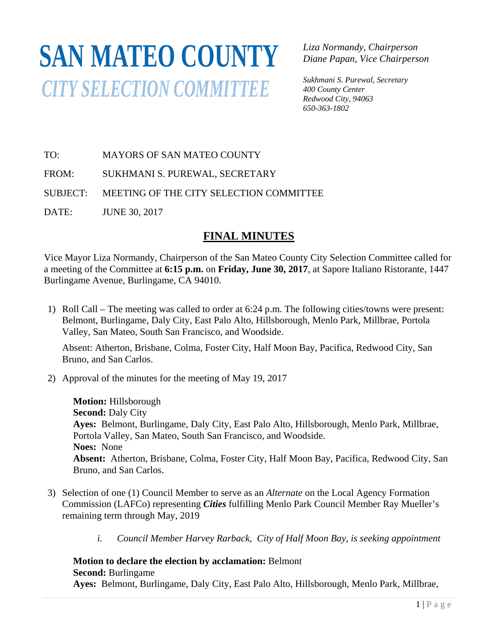# **SAN MATEO COUNTY** *CITY SELECTION COMMITTEE*

*Liza Normandy, Chairperson Diane Papan, Vice Chairperson* 

*Sukhmani S. Purewal, Secretary 400 County Center Redwood City, 94063 650-363-1802*

TO: MAYORS OF SAN MATEO COUNTY

FROM: SUKHMANI S. PUREWAL, SECRETARY

SUBJECT: MEETING OF THE CITY SELECTION COMMITTEE

DATE: JUNE 30, 2017

## **FINAL MINUTES**

Vice Mayor Liza Normandy, Chairperson of the San Mateo County City Selection Committee called for a meeting of the Committee at **6:15 p.m.** on **Friday, June 30, 2017**, at Sapore Italiano Ristorante, 1447 Burlingame Avenue, Burlingame, CA 94010.

1) Roll Call – The meeting was called to order at 6:24 p.m. The following cities/towns were present: Belmont, Burlingame, Daly City, East Palo Alto, Hillsborough, Menlo Park, Millbrae, Portola Valley, San Mateo, South San Francisco, and Woodside.

Absent: Atherton, Brisbane, Colma, Foster City, Half Moon Bay, Pacifica, Redwood City, San Bruno, and San Carlos.

2) Approval of the minutes for the meeting of May 19, 2017

**Motion:** Hillsborough **Second: Daly City Ayes:** Belmont, Burlingame, Daly City, East Palo Alto, Hillsborough, Menlo Park, Millbrae, Portola Valley, San Mateo, South San Francisco, and Woodside. **Noes:** None **Absent:** Atherton, Brisbane, Colma, Foster City, Half Moon Bay, Pacifica, Redwood City, San Bruno, and San Carlos.

- 3) Selection of one (1) Council Member to serve as an *Alternate* on the Local Agency Formation Commission (LAFCo) representing *Cities* fulfilling Menlo Park Council Member Ray Mueller's remaining term through May, 2019
	- *i. Council Member Harvey Rarback, City of Half Moon Bay, is seeking appointment*

## **Motion to declare the election by acclamation:** Belmont

**Second:** Burlingame

**Ayes:** Belmont, Burlingame, Daly City, East Palo Alto, Hillsborough, Menlo Park, Millbrae,